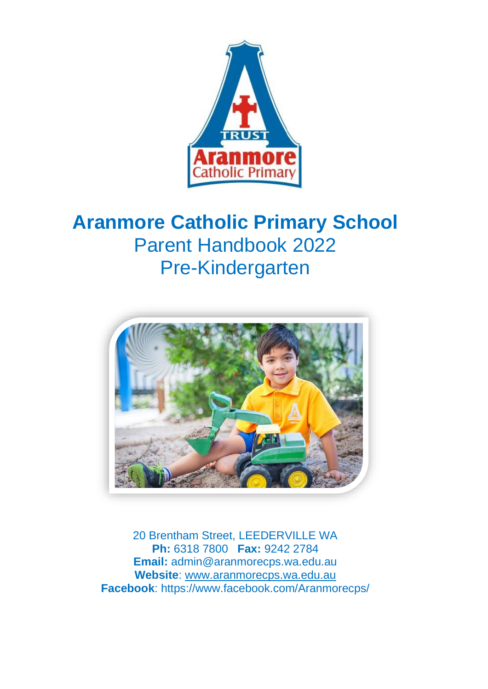

# **Aranmore Catholic Primary School** Parent Handbook 2022 Pre-Kindergarten



20 Brentham Street, LEEDERVILLE WA **Ph:** 6318 7800 **Fax:** 9242 2784 **Email:** admin@aranmorecps.wa.edu.au **Website**: [www.aranmorecps.wa.edu.au](http://www.aranmorecps.wa.edu.au/) **Facebook**: https://www.facebook.com/Aranmorecps/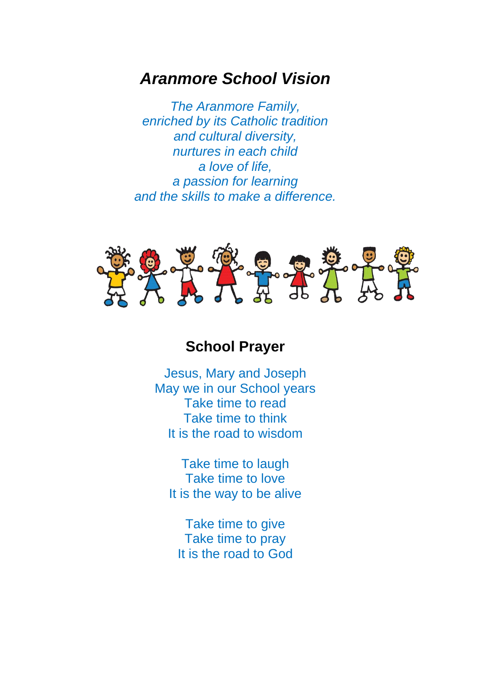# *Aranmore School Vision*

*The Aranmore Family, enriched by its Catholic tradition and cultural diversity, nurtures in each child a love of life, a passion for learning and the skills to make a difference.*



# **School Prayer**

Jesus, Mary and Joseph May we in our School years Take time to read Take time to think It is the road to wisdom

Take time to laugh Take time to love It is the way to be alive

Take time to give Take time to pray It is the road to God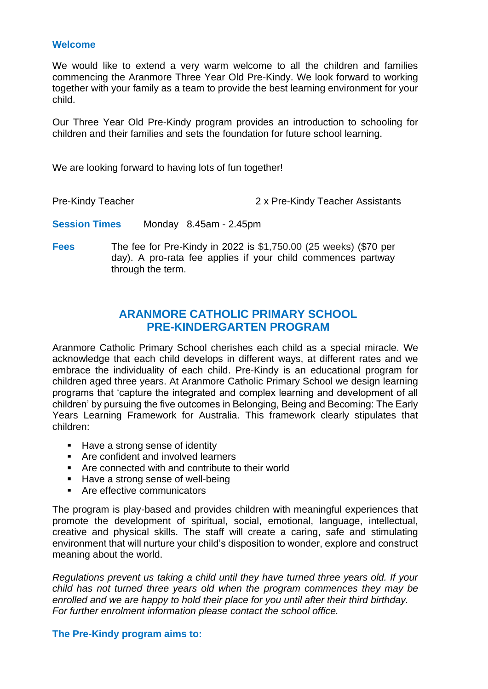#### **Welcome**

We would like to extend a very warm welcome to all the children and families commencing the Aranmore Three Year Old Pre-Kindy. We look forward to working together with your family as a team to provide the best learning environment for your child.

Our Three Year Old Pre-Kindy program provides an introduction to schooling for children and their families and sets the foundation for future school learning.

We are looking forward to having lots of fun together!

Pre-Kindy Teacher 2 x Pre-Kindy Teacher Assistants

**Session Times** Monday 8.45am - 2.45pm

**Fees** The fee for Pre-Kindy in 2022 is \$1,750.00 (25 weeks) (\$70 per day). A pro-rata fee applies if your child commences partway through the term.

### **ARANMORE CATHOLIC PRIMARY SCHOOL PRE-KINDERGARTEN PROGRAM**

Aranmore Catholic Primary School cherishes each child as a special miracle. We acknowledge that each child develops in different ways, at different rates and we embrace the individuality of each child. Pre-Kindy is an educational program for children aged three years. At Aranmore Catholic Primary School we design learning programs that 'capture the integrated and complex learning and development of all children' by pursuing the five outcomes in Belonging, Being and Becoming: The Early Years Learning Framework for Australia. This framework clearly stipulates that children:

- Have a strong sense of identity
- Are confident and involved learners
- Are connected with and contribute to their world
- Have a strong sense of well-being
- Are effective communicators

The program is play-based and provides children with meaningful experiences that promote the development of spiritual, social, emotional, language, intellectual, creative and physical skills. The staff will create a caring, safe and stimulating environment that will nurture your child's disposition to wonder, explore and construct meaning about the world.

*Regulations prevent us taking a child until they have turned three years old. If your child has not turned three years old when the program commences they may be enrolled and we are happy to hold their place for you until after their third birthday. For further enrolment information please contact the school office.*

#### **The Pre-Kindy program aims to:**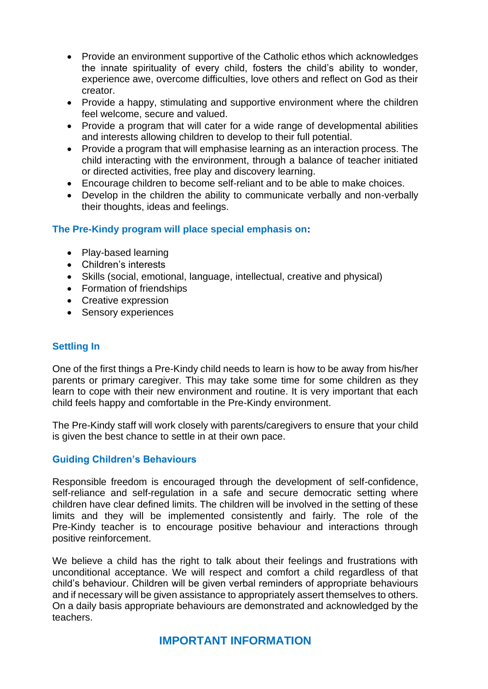- Provide an environment supportive of the Catholic ethos which acknowledges the innate spirituality of every child, fosters the child's ability to wonder, experience awe, overcome difficulties, love others and reflect on God as their creator.
- Provide a happy, stimulating and supportive environment where the children feel welcome, secure and valued.
- Provide a program that will cater for a wide range of developmental abilities and interests allowing children to develop to their full potential.
- Provide a program that will emphasise learning as an interaction process. The child interacting with the environment, through a balance of teacher initiated or directed activities, free play and discovery learning.
- Encourage children to become self-reliant and to be able to make choices.
- Develop in the children the ability to communicate verbally and non-verbally their thoughts, ideas and feelings.

#### **The Pre-Kindy program will place special emphasis on:**

- Play-based learning
- Children's interests
- Skills (social, emotional, language, intellectual, creative and physical)
- Formation of friendships
- Creative expression
- Sensory experiences

#### **Settling In**

One of the first things a Pre-Kindy child needs to learn is how to be away from his/her parents or primary caregiver. This may take some time for some children as they learn to cope with their new environment and routine. It is very important that each child feels happy and comfortable in the Pre-Kindy environment.

The Pre-Kindy staff will work closely with parents/caregivers to ensure that your child is given the best chance to settle in at their own pace.

#### **Guiding Children's Behaviours**

Responsible freedom is encouraged through the development of self-confidence, self-reliance and self-regulation in a safe and secure democratic setting where children have clear defined limits. The children will be involved in the setting of these limits and they will be implemented consistently and fairly. The role of the Pre-Kindy teacher is to encourage positive behaviour and interactions through positive reinforcement.

We believe a child has the right to talk about their feelings and frustrations with unconditional acceptance. We will respect and comfort a child regardless of that child's behaviour. Children will be given verbal reminders of appropriate behaviours and if necessary will be given assistance to appropriately assert themselves to others. On a daily basis appropriate behaviours are demonstrated and acknowledged by the teachers.

# **IMPORTANT INFORMATION**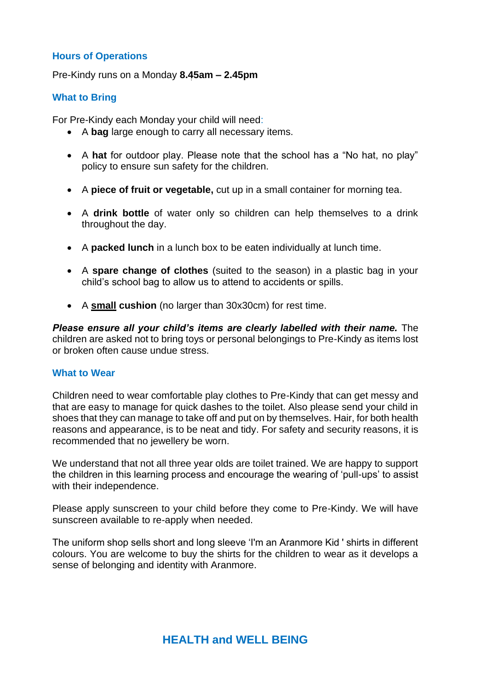#### **Hours of Operations**

Pre-Kindy runs on a Monday **8.45am – 2.45pm**

#### **What to Bring**

For Pre-Kindy each Monday your child will need:

- A **bag** large enough to carry all necessary items.
- A **hat** for outdoor play. Please note that the school has a "No hat, no play" policy to ensure sun safety for the children.
- A **piece of fruit or vegetable,** cut up in a small container for morning tea.
- A **drink bottle** of water only so children can help themselves to a drink throughout the day.
- A **packed lunch** in a lunch box to be eaten individually at lunch time.
- A **spare change of clothes** (suited to the season) in a plastic bag in your child's school bag to allow us to attend to accidents or spills.
- A **small cushion** (no larger than 30x30cm) for rest time.

*Please ensure all your child's items are clearly labelled with their name.* The children are asked not to bring toys or personal belongings to Pre-Kindy as items lost or broken often cause undue stress.

#### **What to Wear**

Children need to wear comfortable play clothes to Pre-Kindy that can get messy and that are easy to manage for quick dashes to the toilet. Also please send your child in shoes that they can manage to take off and put on by themselves. Hair, for both health reasons and appearance, is to be neat and tidy. For safety and security reasons, it is recommended that no jewellery be worn.

We understand that not all three year olds are toilet trained. We are happy to support the children in this learning process and encourage the wearing of 'pull-ups' to assist with their independence.

Please apply sunscreen to your child before they come to Pre-Kindy. We will have sunscreen available to re-apply when needed.

The uniform shop sells short and long sleeve 'I'm an Aranmore Kid ' shirts in different colours. You are welcome to buy the shirts for the children to wear as it develops a sense of belonging and identity with Aranmore.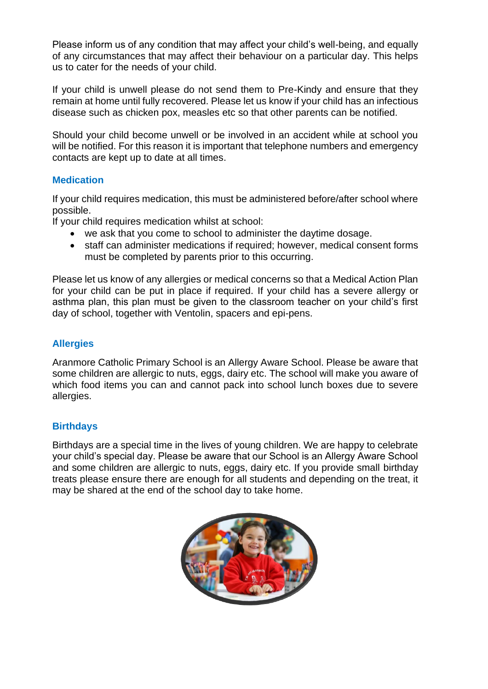Please inform us of any condition that may affect your child's well-being, and equally of any circumstances that may affect their behaviour on a particular day. This helps us to cater for the needs of your child.

If your child is unwell please do not send them to Pre-Kindy and ensure that they remain at home until fully recovered. Please let us know if your child has an infectious disease such as chicken pox, measles etc so that other parents can be notified.

Should your child become unwell or be involved in an accident while at school you will be notified. For this reason it is important that telephone numbers and emergency contacts are kept up to date at all times.

#### **Medication**

If your child requires medication, this must be administered before/after school where possible.

If your child requires medication whilst at school:

- we ask that you come to school to administer the daytime dosage.
- staff can administer medications if required; however, medical consent forms must be completed by parents prior to this occurring.

Please let us know of any allergies or medical concerns so that a Medical Action Plan for your child can be put in place if required. If your child has a severe allergy or asthma plan, this plan must be given to the classroom teacher on your child's first day of school, together with Ventolin, spacers and epi-pens.

#### **Allergies**

Aranmore Catholic Primary School is an Allergy Aware School. Please be aware that some children are allergic to nuts, eggs, dairy etc. The school will make you aware of which food items you can and cannot pack into school lunch boxes due to severe allergies.

#### **Birthdays**

Birthdays are a special time in the lives of young children. We are happy to celebrate your child's special day. Please be aware that our School is an Allergy Aware School and some children are allergic to nuts, eggs, dairy etc. If you provide small birthday treats please ensure there are enough for all students and depending on the treat, it may be shared at the end of the school day to take home.

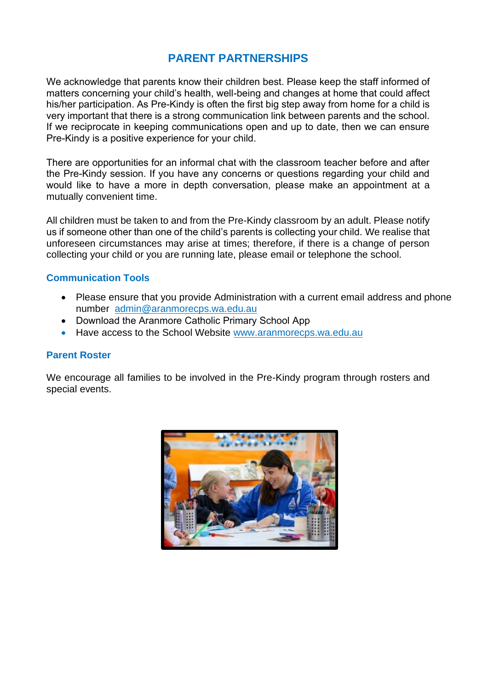# **PARENT PARTNERSHIPS**

We acknowledge that parents know their children best. Please keep the staff informed of matters concerning your child's health, well-being and changes at home that could affect his/her participation. As Pre-Kindy is often the first big step away from home for a child is very important that there is a strong communication link between parents and the school. If we reciprocate in keeping communications open and up to date, then we can ensure Pre-Kindy is a positive experience for your child.

There are opportunities for an informal chat with the classroom teacher before and after the Pre-Kindy session. If you have any concerns or questions regarding your child and would like to have a more in depth conversation, please make an appointment at a mutually convenient time.

All children must be taken to and from the Pre-Kindy classroom by an adult. Please notify us if someone other than one of the child's parents is collecting your child. We realise that unforeseen circumstances may arise at times; therefore, if there is a change of person collecting your child or you are running late, please email or telephone the school.

#### **Communication Tools**

- Please ensure that you provide Administration with a current email address and phone number [admin@aranmorecps.wa.edu.au](mailto:admin@aranmorecps.wa.edu.au)
- Download the Aranmore Catholic Primary School App
- Have access to the School Website [www.aranmorecps.wa.edu.au](http://www.aranmorecps.wa.edu.au/)

#### **Parent Roster**

We encourage all families to be involved in the Pre-Kindy program through rosters and special events.